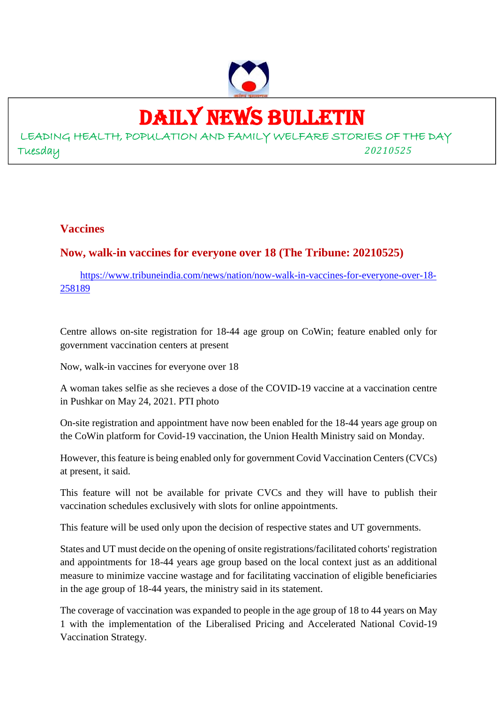

# DAILY NEWS BULLETIN

LEADING HEALTH, POPULATION AND FAMILY WELFARE STORIES OF THE DAY Tuesday *20210525*

### **Vaccines**

## **Now, walk-in vaccines for everyone over 18 (The Tribune: 20210525)**

https://www.tribuneindia.com/news/nation/now-walk-in-vaccines-for-everyone-over-18- 258189

Centre allows on-site registration for 18-44 age group on CoWin; feature enabled only for government vaccination centers at present

Now, walk-in vaccines for everyone over 18

A woman takes selfie as she recieves a dose of the COVID-19 vaccine at a vaccination centre in Pushkar on May 24, 2021. PTI photo

On-site registration and appointment have now been enabled for the 18-44 years age group on the CoWin platform for Covid-19 vaccination, the Union Health Ministry said on Monday.

However, this feature is being enabled only for government Covid Vaccination Centers (CVCs) at present, it said.

This feature will not be available for private CVCs and they will have to publish their vaccination schedules exclusively with slots for online appointments.

This feature will be used only upon the decision of respective states and UT governments.

States and UT must decide on the opening of onsite registrations/facilitated cohorts' registration and appointments for 18-44 years age group based on the local context just as an additional measure to minimize vaccine wastage and for facilitating vaccination of eligible beneficiaries in the age group of 18-44 years, the ministry said in its statement.

The coverage of vaccination was expanded to people in the age group of 18 to 44 years on May 1 with the implementation of the Liberalised Pricing and Accelerated National Covid-19 Vaccination Strategy.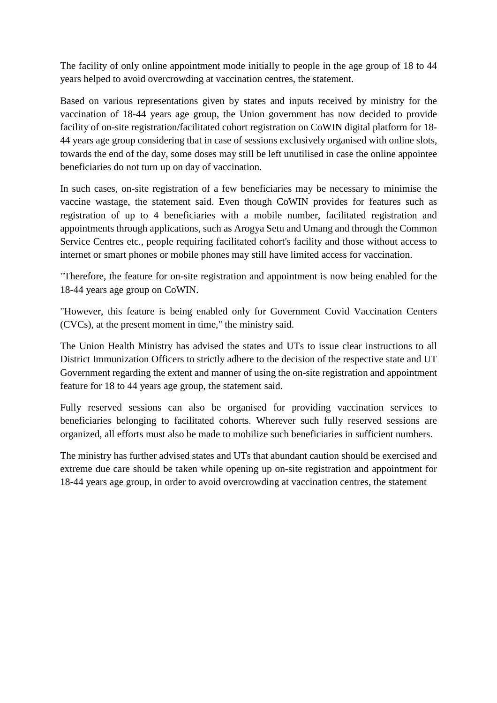The facility of only online appointment mode initially to people in the age group of 18 to 44 years helped to avoid overcrowding at vaccination centres, the statement.

Based on various representations given by states and inputs received by ministry for the vaccination of 18-44 years age group, the Union government has now decided to provide facility of on-site registration/facilitated cohort registration on CoWIN digital platform for 18- 44 years age group considering that in case of sessions exclusively organised with online slots, towards the end of the day, some doses may still be left unutilised in case the online appointee beneficiaries do not turn up on day of vaccination.

In such cases, on-site registration of a few beneficiaries may be necessary to minimise the vaccine wastage, the statement said. Even though CoWIN provides for features such as registration of up to 4 beneficiaries with a mobile number, facilitated registration and appointments through applications, such as Arogya Setu and Umang and through the Common Service Centres etc., people requiring facilitated cohort's facility and those without access to internet or smart phones or mobile phones may still have limited access for vaccination.

"Therefore, the feature for on-site registration and appointment is now being enabled for the 18-44 years age group on CoWIN.

"However, this feature is being enabled only for Government Covid Vaccination Centers (CVCs), at the present moment in time," the ministry said.

The Union Health Ministry has advised the states and UTs to issue clear instructions to all District Immunization Officers to strictly adhere to the decision of the respective state and UT Government regarding the extent and manner of using the on-site registration and appointment feature for 18 to 44 years age group, the statement said.

Fully reserved sessions can also be organised for providing vaccination services to beneficiaries belonging to facilitated cohorts. Wherever such fully reserved sessions are organized, all efforts must also be made to mobilize such beneficiaries in sufficient numbers.

The ministry has further advised states and UTs that abundant caution should be exercised and extreme due care should be taken while opening up on-site registration and appointment for 18-44 years age group, in order to avoid overcrowding at vaccination centres, the statement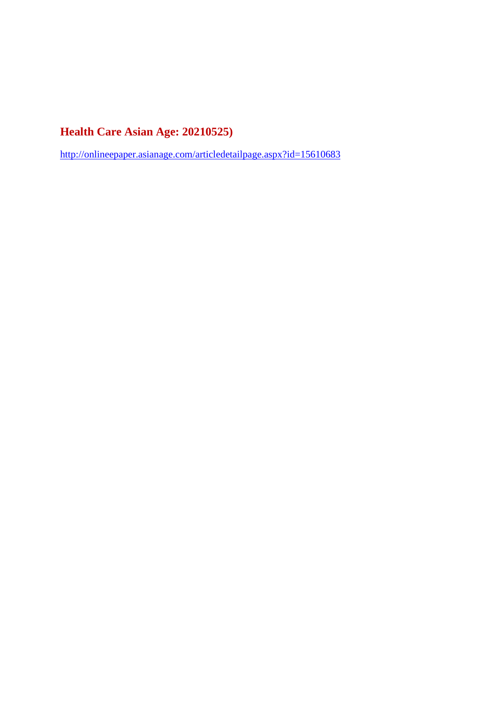## **Health Care Asian Age: 20210525)**

http://onlineepaper.asianage.com/articledetailpage.aspx?id=15610683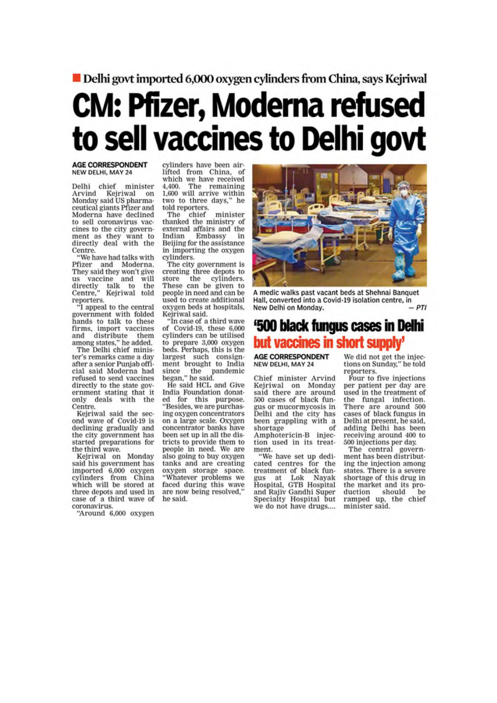Delhi govt imported 6,000 oxygen cylinders from China, says Kejriwal

# **CM: Pfizer, Moderna refused** to sell vaccines to Delhi govt

#### **AGE CORRESPONDENT** NEW DELHI, MAY 24

Delhi chief minister Arvind Kejriwal on Monday said US pharmaceutical giants Pfizer and Moderna have declined to sell coronavirus vaccines to the city government as they want to directly deal with the Centre.

"We have had talks with Pfizer and Moderna. They said they won't give us vaccine and will<br>directly talk to the<br>Centre," Kejriwal told reporters.<br>"I appeal to the central

government with folded hands to talk to these firms, import vaccines<br>and distribute them

and distribute them<br>among states," he added.<br>The Delhi chief minister's remarks came a day after a senior Puniab official said Moderna had refused to send vaccines directly to the state government stating that it only deals with the Centre

Kejriwal said the second wave of Covid-19 is declining gradually and the city government has started preparations for the third wave.

Kejriwal on Monday said his government has imported 6,000 oxygen<br>cylinders from China which will be stored at three depots and used in case of a third wave of coronavirus.

"Around 6,000 oxygen

cylinders have been air-<br>lifted from China, of which we have received The remaining 4.400. 1,600 will arrive within two to three days," he told reporters.

The chief minister thanked the ministry of external affairs and the Indian Embassy in Beijing for the assistance in importing the oxygen cylinders.

The city government is creating three depots to the store cylinders. These can be given to people in need and can be used to create additional oxygen beds at hospitals. Kejriwal said.

"In case of a third wave of Covid-19, these 6,000 cylinders can be utilised to prepare 3,000 oxygen beds. Perhaps, this is the largest such consign-<br>ment brought to India since the pandemic<br>began," he said.

He said HCL and Give India Foundation donated for this purpose.<br>"Besides, we are purchasing oxygen concentrators on a large scale. Oxygen concentrator banks have been set up in all the districts to provide them to people in need. We are also going to buy oxygen tanks and are creating oxygen storage space. 'Whatever problems we faced during this wave are now being resolved,' he said.



A medic walks past vacant beds at Shehnai Banquet Hall, converted into a Covid-19 isolation centre, in New Delhi on Monday.  $DTI$ 

# '500 black fungus cases in Delhi but vaccines in short supply'

**AGE CORRESPONDENT NEW DELHI, MAY 24** 

Chief minister Arvind Kejriwal on Monday said there are around<br>500 cases of black fungus or mucormycosis in Delhi and the city has been grappling with a shortage  $\alpha$ <sup> $\epsilon$ </sup> Amphotericin-B injection used in its treatment.

"We have set up dedicated centres for the treatment of black fungus at Lok Nayak<br>Hospital, GTB Hospital and Rajiv Gandhi Super Specialty Hospital but we do not have drugs....

We did not get the injections on Sunday," he told reporters.

Four to five injections per patient per day are used in the treatment of the fungal infection. There are around 500 cases of black fungus in Delhi at present, he said, adding Delhi has been receiving around 400 to 500 injections per day.

The central government has been distributing the injection among states. There is a severe shortage of this drug in the market and its pro-<br>duction should be ramped up, the chief minister said.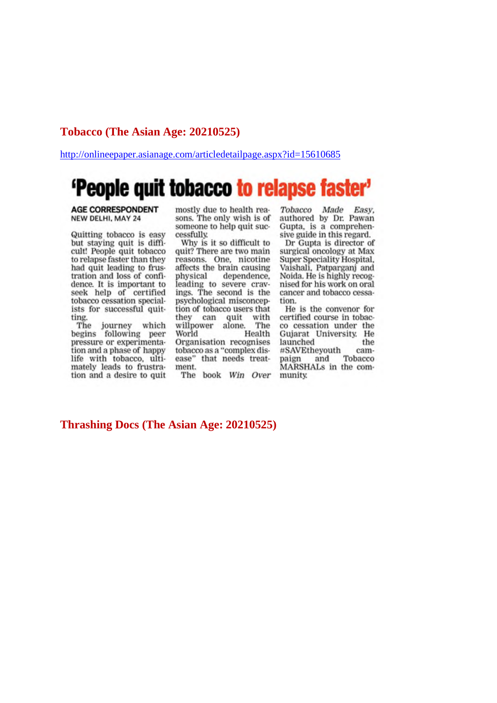### Tobacco (The Asian Age: 20210525)

http://onlineepaper.asianage.com/articledetailpage.aspx?id=15610685

# 'People quit tobacco to relapse faster'

#### **AGE CORRESPONDENT** NEW DELHI, MAY 24

Quitting tobacco is easy but staying quit is difficult! People quit tobacco to relapse faster than they had quit leading to frustration and loss of confidence. It is important to seek help of certified tobacco cessation specialists for successful quitting.

The journey which<br>begins following peer pressure or experimentation and a phase of happy life with tobacco, ultimately leads to frustration and a desire to quit mostly due to health reasons. The only wish is of someone to help quit successfully

Why is it so difficult to quit? There are two main reasons. One, nicotine affects the brain causing physical dependence. leading to severe cravings. The second is the psychological misconception of tobacco users that they can quit with willpower alone. The Health World Organisation recognises tobacco as a "complex disease" that needs treatment.

The book Win Over

Tobacco Made Easy. authored by Dr. Pawan Gupta, is a comprehensive guide in this regard.

Dr Gupta is director of surgical oncology at Max Super Speciality Hospital, Vaishali, Patparganj and Noida. He is highly recognised for his work on oral cancer and tobacco cessation.

He is the convenor for certified course in tobacco cessation under the Gujarat University. He launched the #SAVEtheyouth cam-Tobacco paign and MARSHALs in the community.

### **Thrashing Docs (The Asian Age: 20210525)**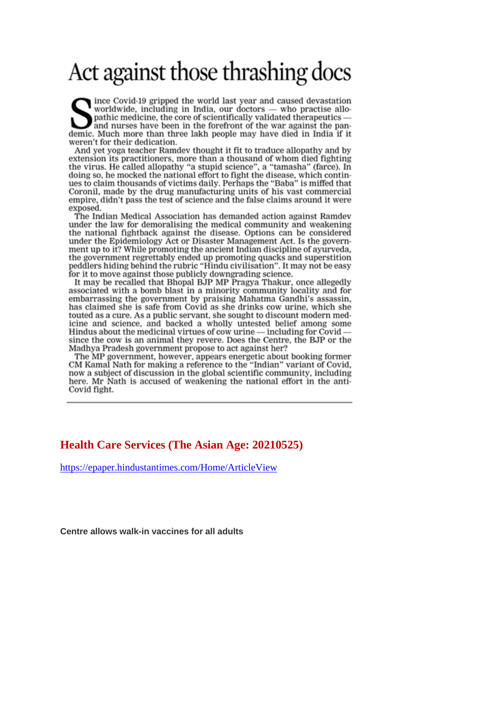# Act against those thrashing docs

ince Covid-19 gripped the world last year and caused devastation worldwide, including in India, our doctors — who practise allopathic medicine, the core of scientifically validated therapeutics and nurses have been in the forefront of the war against the pandemic. Much more than three lakh people may have died in India if it weren't for their dedication.

And yet yoga teacher Ramdev thought it fit to traduce allopathy and by extension its practitioners, more than a thousand of whom died fighting the virus. He called allopathy "a stupid science", a "tamasha" (farce). In doing so, he mocked the national effort to fight the disease, which continues to claim thousands of victims daily. Perhaps the "Baba" is miffed that Coronil, made by the drug manufacturing units of his vast commercial empire, didn't pass the test of science and the false claims around it were exposed.

The Indian Medical Association has demanded action against Ramdev under the law for demoralising the medical community and weakening the national fightback against the disease. Options can be considered under the Epidemiology Act or Disaster Management Act. Is the government up to it? While promoting the ancient Indian discipline of ayurveda, the government regrettably ended up promoting quacks and superstition peddlers hiding behind the rubric "Hindu civilisation". It may not be easy for it to move against those publicly downgrading science.

It may be recalled that Bhopal BJP MP Pragya Thakur, once allegedly associated with a bomb blast in a minority community locality and for embarrassing the government by praising Mahatma Gandhi's assassin, has claimed she is safe from Covid as she drinks cow urine, which she touted as a cure. As a public servant, she sought to discount modern medicine and science, and backed a wholly untested belief among some Hindus about the medicinal virtues of cow urine  $-$  including for Covid  $$ since the cow is an animal they revere. Does the Centre, the BJP or the Madhya Pradesh government propose to act against her?

The MP government, however, appears energetic about booking former CM Kamal Nath for making a reference to the "Indian" variant of Covid, now a subject of discussion in the global scientific community, including here. Mr Nath is accused of weakening the national effort in the anti-Covid fight.

### **Health Care Services (The Asian Age: 20210525)**

https://epaper.hindustantimes.com/Home/ArticleView

**Centre allows walk-in vaccines for all adults**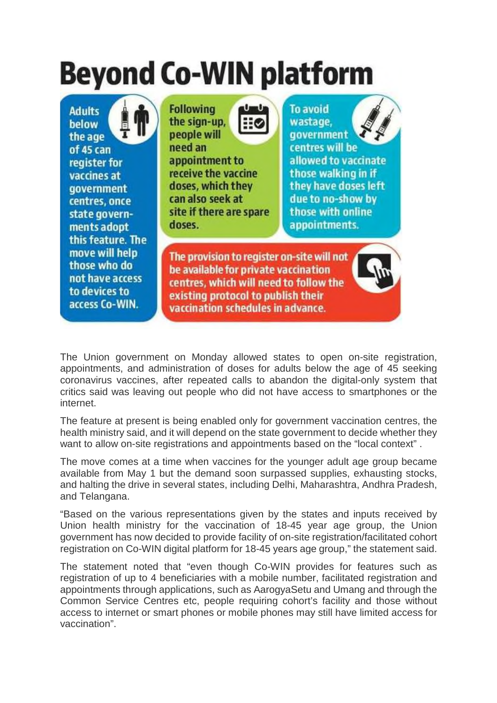# **Beyond Co-WIN platform**

**Adults** below the age of 45 can register for vaccines at **government** centres, once state governments adopt this feature. The move will help those who do not have access to devices to access Co-WIN.



**To avoid** wastage. **aovernment** centres will be allowed to vaccinate those walking in if they have doses left due to no-show by those with online appointments.

The provision to register on-site will not be available for private vaccination centres, which will need to follow the existing protocol to publish their vaccination schedules in advance.

The Union government on Monday allowed states to open on-site registration, appointments, and administration of doses for adults below the age of 45 seeking coronavirus vaccines, after repeated calls to abandon the digital-only system that critics said was leaving out people who did not have access to smartphones or the internet.

The feature at present is being enabled only for government vaccination centres, the health ministry said, and it will depend on the state government to decide whether they want to allow on-site registrations and appointments based on the "local context" .

The move comes at a time when vaccines for the younger adult age group became available from May 1 but the demand soon surpassed supplies, exhausting stocks, and halting the drive in several states, including Delhi, Maharashtra, Andhra Pradesh, and Telangana.

"Based on the various representations given by the states and inputs received by Union health ministry for the vaccination of 18-45 year age group, the Union government has now decided to provide facility of on-site registration/facilitated cohort registration on Co-WIN digital platform for 18-45 years age group," the statement said.

The statement noted that "even though Co-WIN provides for features such as registration of up to 4 beneficiaries with a mobile number, facilitated registration and appointments through applications, such as AarogyaSetu and Umang and through the Common Service Centres etc, people requiring cohort's facility and those without access to internet or smart phones or mobile phones may still have limited access for vaccination".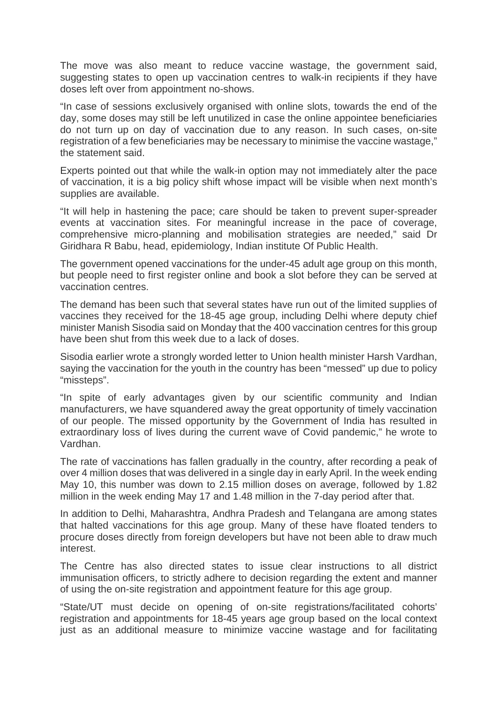The move was also meant to reduce vaccine wastage, the government said, suggesting states to open up vaccination centres to walk-in recipients if they have doses left over from appointment no-shows.

"In case of sessions exclusively organised with online slots, towards the end of the day, some doses may still be left unutilized in case the online appointee beneficiaries do not turn up on day of vaccination due to any reason. In such cases, on-site registration of a few beneficiaries may be necessary to minimise the vaccine wastage," the statement said.

Experts pointed out that while the walk-in option may not immediately alter the pace of vaccination, it is a big policy shift whose impact will be visible when next month's supplies are available.

"It will help in hastening the pace; care should be taken to prevent super-spreader events at vaccination sites. For meaningful increase in the pace of coverage, comprehensive micro-planning and mobilisation strategies are needed," said Dr Giridhara R Babu, head, epidemiology, Indian institute Of Public Health.

The government opened vaccinations for the under-45 adult age group on this month, but people need to first register online and book a slot before they can be served at vaccination centres.

The demand has been such that several states have run out of the limited supplies of vaccines they received for the 18-45 age group, including Delhi where deputy chief minister Manish Sisodia said on Monday that the 400 vaccination centres for this group have been shut from this week due to a lack of doses.

Sisodia earlier wrote a strongly worded letter to Union health minister Harsh Vardhan, saying the vaccination for the youth in the country has been "messed" up due to policy "missteps".

"In spite of early advantages given by our scientific community and Indian manufacturers, we have squandered away the great opportunity of timely vaccination of our people. The missed opportunity by the Government of India has resulted in extraordinary loss of lives during the current wave of Covid pandemic," he wrote to Vardhan.

The rate of vaccinations has fallen gradually in the country, after recording a peak of over 4 million doses that was delivered in a single day in early April. In the week ending May 10, this number was down to 2.15 million doses on average, followed by 1.82 million in the week ending May 17 and 1.48 million in the 7-day period after that.

In addition to Delhi, Maharashtra, Andhra Pradesh and Telangana are among states that halted vaccinations for this age group. Many of these have floated tenders to procure doses directly from foreign developers but have not been able to draw much interest.

The Centre has also directed states to issue clear instructions to all district immunisation officers, to strictly adhere to decision regarding the extent and manner of using the on-site registration and appointment feature for this age group.

"State/UT must decide on opening of on-site registrations/facilitated cohorts' registration and appointments for 18-45 years age group based on the local context just as an additional measure to minimize vaccine wastage and for facilitating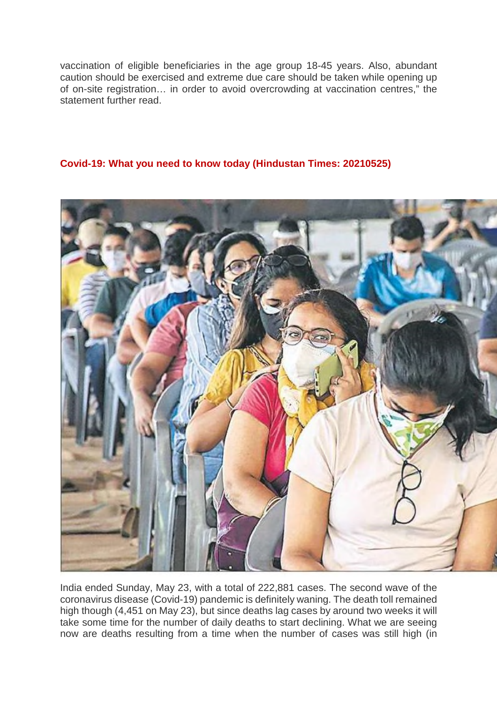vaccination of eligible beneficiaries in the age group 18-45 years. Also, abundant caution should be exercised and extreme due care should be taken while opening up of on-site registration… in order to avoid overcrowding at vaccination centres," the statement further read.

### **Covid-19: What you need to know today (Hindustan Times: 20210525)**



India ended Sunday, May 23, with a total of 222,881 cases. The second wave of the coronavirus disease (Covid-19) pandemic is definitely waning. The death toll remained high though (4,451 on May 23), but since deaths lag cases by around two weeks it will take some time for the number of daily deaths to start declining. What we are seeing now are deaths resulting from a time when the number of cases was still high (in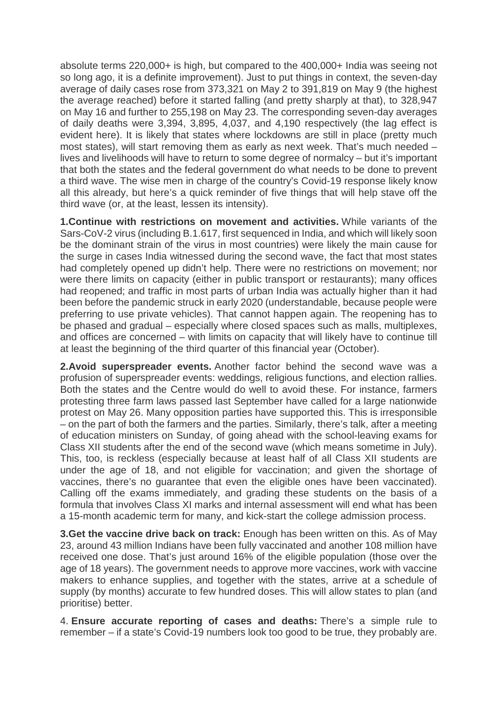absolute terms 220,000+ is high, but compared to the 400,000+ India was seeing not so long ago, it is a definite improvement). Just to put things in context, the seven-day average of daily cases rose from 373,321 on May 2 to 391,819 on May 9 (the highest the average reached) before it started falling (and pretty sharply at that), to 328,947 on May 16 and further to 255,198 on May 23. The corresponding seven-day averages of daily deaths were 3,394, 3,895, 4,037, and 4,190 respectively (the lag effect is evident here). It is likely that states where lockdowns are still in place (pretty much most states), will start removing them as early as next week. That's much needed – lives and livelihoods will have to return to some degree of normalcy – but it's important that both the states and the federal government do what needs to be done to prevent a third wave. The wise men in charge of the country's Covid-19 response likely know all this already, but here's a quick reminder of five things that will help stave off the third wave (or, at the least, lessen its intensity).

**1.Continue with restrictions on movement and activities.** While variants of the Sars-CoV-2 virus (including B.1.617, first sequenced in India, and which will likely soon be the dominant strain of the virus in most countries) were likely the main cause for the surge in cases India witnessed during the second wave, the fact that most states had completely opened up didn't help. There were no restrictions on movement; nor were there limits on capacity (either in public transport or restaurants); many offices had reopened; and traffic in most parts of urban India was actually higher than it had been before the pandemic struck in early 2020 (understandable, because people were preferring to use private vehicles). That cannot happen again. The reopening has to be phased and gradual – especially where closed spaces such as malls, multiplexes, and offices are concerned – with limits on capacity that will likely have to continue till at least the beginning of the third quarter of this financial year (October).

**2.Avoid superspreader events.** Another factor behind the second wave was a profusion of superspreader events: weddings, religious functions, and election rallies. Both the states and the Centre would do well to avoid these. For instance, farmers protesting three farm laws passed last September have called for a large nationwide protest on May 26. Many opposition parties have supported this. This is irresponsible – on the part of both the farmers and the parties. Similarly, there's talk, after a meeting of education ministers on Sunday, of going ahead with the school-leaving exams for Class XII students after the end of the second wave (which means sometime in July). This, too, is reckless (especially because at least half of all Class XII students are under the age of 18, and not eligible for vaccination; and given the shortage of vaccines, there's no guarantee that even the eligible ones have been vaccinated). Calling off the exams immediately, and grading these students on the basis of a formula that involves Class XI marks and internal assessment will end what has been a 15-month academic term for many, and kick-start the college admission process.

**3.Get the vaccine drive back on track:** Enough has been written on this. As of May 23, around 43 million Indians have been fully vaccinated and another 108 million have received one dose. That's just around 16% of the eligible population (those over the age of 18 years). The government needs to approve more vaccines, work with vaccine makers to enhance supplies, and together with the states, arrive at a schedule of supply (by months) accurate to few hundred doses. This will allow states to plan (and prioritise) better.

4. **Ensure accurate reporting of cases and deaths:** There's a simple rule to remember – if a state's Covid-19 numbers look too good to be true, they probably are.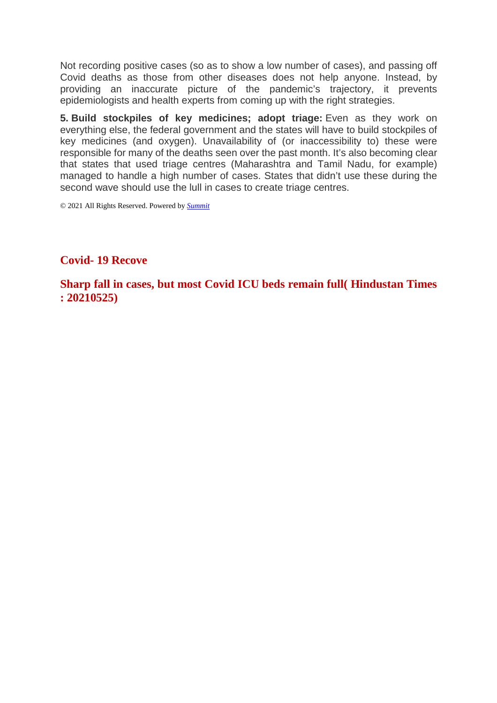Not recording positive cases (so as to show a low number of cases), and passing off Covid deaths as those from other diseases does not help anyone. Instead, by providing an inaccurate picture of the pandemic's trajectory, it prevents epidemiologists and health experts from coming up with the right strategies.

**5. Build stockpiles of key medicines; adopt triage:** Even as they work on everything else, the federal government and the states will have to build stockpiles of key medicines (and oxygen). Unavailability of (or inaccessibility to) these were responsible for many of the deaths seen over the past month. It's also becoming clear that states that used triage centres (Maharashtra and Tamil Nadu, for example) managed to handle a high number of cases. States that didn't use these during the second wave should use the lull in cases to create triage centres.

© 2021 All Rights Reserved. Powered by *Summit*

## **Covid- 19 Recove**

**Sharp fall in cases, but most Covid ICU beds remain full( Hindustan Times : 20210525)**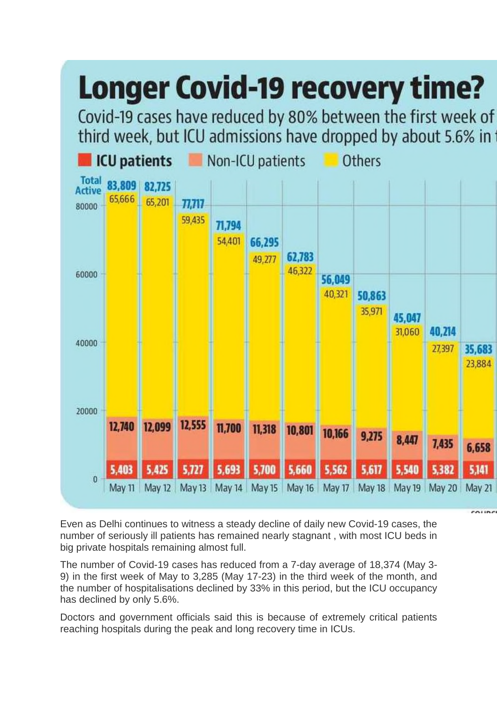

Even as Delhi continues to witness a steady decline of daily new Covid-19 cases, the number of seriously ill patients has remained nearly stagnant , with most ICU beds in big private hospitals remaining almost full.

The number of Covid-19 cases has reduced from a 7-day average of 18,374 (May 3- 9) in the first week of May to 3,285 (May 17-23) in the third week of the month, and the number of hospitalisations declined by 33% in this period, but the ICU occupancy has declined by only 5.6%.

Doctors and government officials said this is because of extremely critical patients reaching hospitals during the peak and long recovery time in ICUs.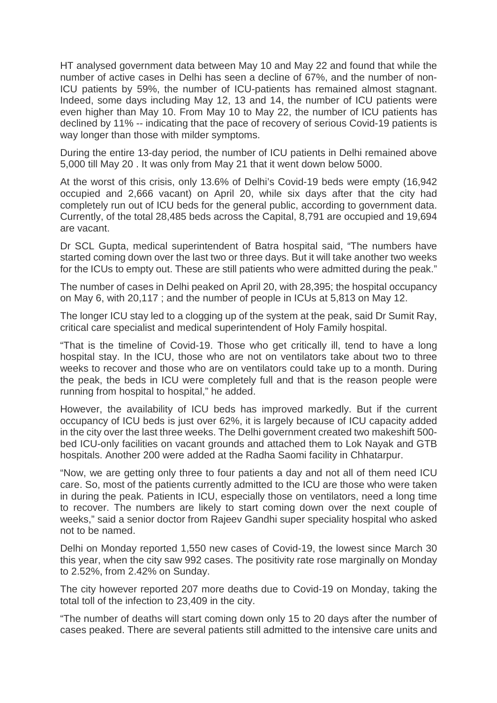HT analysed government data between May 10 and May 22 and found that while the number of active cases in Delhi has seen a decline of 67%, and the number of non-ICU patients by 59%, the number of ICU-patients has remained almost stagnant. Indeed, some days including May 12, 13 and 14, the number of ICU patients were even higher than May 10. From May 10 to May 22, the number of ICU patients has declined by 11% -- indicating that the pace of recovery of serious Covid-19 patients is way longer than those with milder symptoms.

During the entire 13-day period, the number of ICU patients in Delhi remained above 5,000 till May 20 . It was only from May 21 that it went down below 5000.

At the worst of this crisis, only 13.6% of Delhi's Covid-19 beds were empty (16,942 occupied and 2,666 vacant) on April 20, while six days after that the city had completely run out of ICU beds for the general public, according to government data. Currently, of the total 28,485 beds across the Capital, 8,791 are occupied and 19,694 are vacant.

Dr SCL Gupta, medical superintendent of Batra hospital said, "The numbers have started coming down over the last two or three days. But it will take another two weeks for the ICUs to empty out. These are still patients who were admitted during the peak."

The number of cases in Delhi peaked on April 20, with 28,395; the hospital occupancy on May 6, with 20,117 ; and the number of people in ICUs at 5,813 on May 12.

The longer ICU stay led to a clogging up of the system at the peak, said Dr Sumit Ray, critical care specialist and medical superintendent of Holy Family hospital.

"That is the timeline of Covid-19. Those who get critically ill, tend to have a long hospital stay. In the ICU, those who are not on ventilators take about two to three weeks to recover and those who are on ventilators could take up to a month. During the peak, the beds in ICU were completely full and that is the reason people were running from hospital to hospital," he added.

However, the availability of ICU beds has improved markedly. But if the current occupancy of ICU beds is just over 62%, it is largely because of ICU capacity added in the city over the last three weeks. The Delhi government created two makeshift 500 bed ICU-only facilities on vacant grounds and attached them to Lok Nayak and GTB hospitals. Another 200 were added at the Radha Saomi facility in Chhatarpur.

"Now, we are getting only three to four patients a day and not all of them need ICU care. So, most of the patients currently admitted to the ICU are those who were taken in during the peak. Patients in ICU, especially those on ventilators, need a long time to recover. The numbers are likely to start coming down over the next couple of weeks," said a senior doctor from Rajeev Gandhi super speciality hospital who asked not to be named.

Delhi on Monday reported 1,550 new cases of Covid-19, the lowest since March 30 this year, when the city saw 992 cases. The positivity rate rose marginally on Monday to 2.52%, from 2.42% on Sunday.

The city however reported 207 more deaths due to Covid-19 on Monday, taking the total toll of the infection to 23,409 in the city.

"The number of deaths will start coming down only 15 to 20 days after the number of cases peaked. There are several patients still admitted to the intensive care units and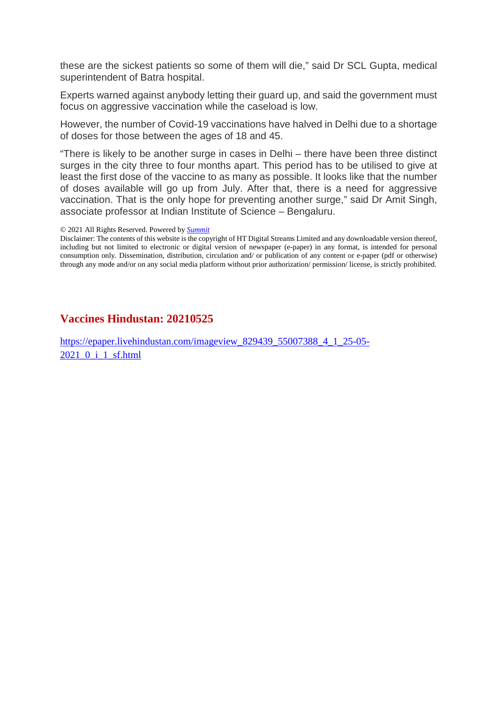these are the sickest patients so some of them will die," said Dr SCL Gupta, medical superintendent of Batra hospital.

Experts warned against anybody letting their guard up, and said the government must focus on aggressive vaccination while the caseload is low.

However, the number of Covid-19 vaccinations have halved in Delhi due to a shortage of doses for those between the ages of 18 and 45.

"There is likely to be another surge in cases in Delhi – there have been three distinct surges in the city three to four months apart. This period has to be utilised to give at least the first dose of the vaccine to as many as possible. It looks like that the number of doses available will go up from July. After that, there is a need for aggressive vaccination. That is the only hope for preventing another surge," said Dr Amit Singh, associate professor at Indian Institute of Science – Bengaluru.

#### © 2021 All Rights Reserved. Powered by *Summit*

Disclaimer: The contents of this website is the copyright of HT Digital Streams Limited and any downloadable version thereof, including but not limited to electronic or digital version of newspaper (e-paper) in any format, is intended for personal consumption only. Dissemination, distribution, circulation and/ or publication of any content or e-paper (pdf or otherwise) through any mode and/or on any social media platform without prior authorization/ permission/ license, is strictly prohibited.

### **Vaccines Hindustan: 20210525**

https://epaper.livehindustan.com/imageview\_829439\_55007388\_4\_1\_25-05- 2021\_0\_i\_1\_sf.html